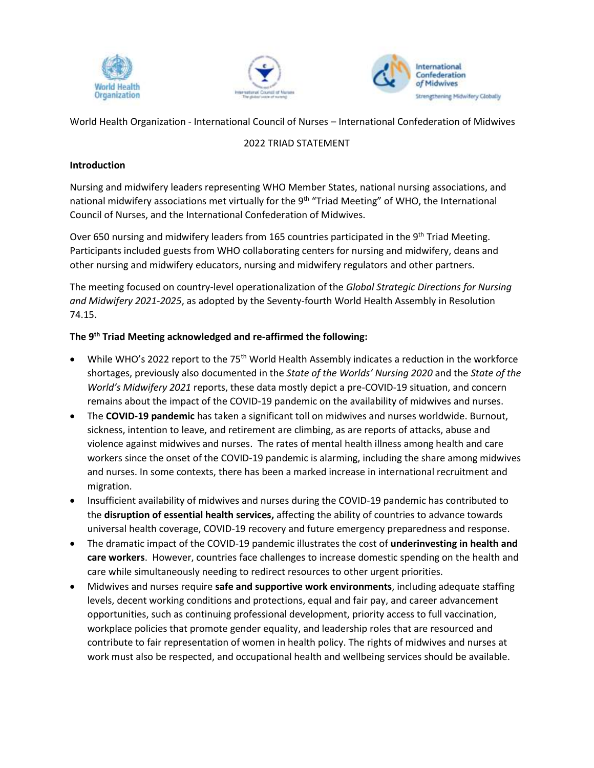





World Health Organization - International Council of Nurses – International Confederation of Midwives

## 2022 TRIAD STATEMENT

## **Introduction**

Nursing and midwifery leaders representing WHO Member States, national nursing associations, and national midwifery associations met virtually for the 9<sup>th</sup> "Triad Meeting" of WHO, the International Council of Nurses, and the International Confederation of Midwives.

Over 650 nursing and midwifery leaders from 165 countries participated in the 9<sup>th</sup> Triad Meeting. Participants included guests from WHO collaborating centers for nursing and midwifery, deans and other nursing and midwifery educators, nursing and midwifery regulators and other partners.

The meeting focused on country-level operationalization of the *Global Strategic Directions for Nursing and Midwifery 2021-2025*, as adopted by the Seventy-fourth World Health Assembly in Resolution 74.15.

## **The 9 th Triad Meeting acknowledged and re-affirmed the following:**

- While WHO's 2022 report to the 75<sup>th</sup> World Health Assembly indicates a reduction in the workforce shortages, previously also documented in the *State of the Worlds' Nursing 2020* and the *State of the World's Midwifery 2021* reports, these data mostly depict a pre-COVID-19 situation, and concern remains about the impact of the COVID-19 pandemic on the availability of midwives and nurses.
- The **COVID-19 pandemic** has taken a significant toll on midwives and nurses worldwide. Burnout, sickness, intention to leave, and retirement are climbing, as are reports of attacks, abuse and violence against midwives and nurses. The rates of mental health illness among health and care workers since the onset of the COVID-19 pandemic is alarming, including the share among midwives and nurses. In some contexts, there has been a marked increase in international recruitment and migration.
- Insufficient availability of midwives and nurses during the COVID-19 pandemic has contributed to the **disruption of essential health services,** affecting the ability of countries to advance towards universal health coverage, COVID-19 recovery and future emergency preparedness and response.
- The dramatic impact of the COVID-19 pandemic illustrates the cost of **underinvesting in health and care workers**. However, countries face challenges to increase domestic spending on the health and care while simultaneously needing to redirect resources to other urgent priorities.
- Midwives and nurses require **safe and supportive work environments**, including adequate staffing levels, decent working conditions and protections, equal and fair pay, and career advancement opportunities, such as continuing professional development, priority access to full vaccination, workplace policies that promote gender equality, and leadership roles that are resourced and contribute to fair representation of women in health policy. The rights of midwives and nurses at work must also be respected, and occupational health and wellbeing services should be available.